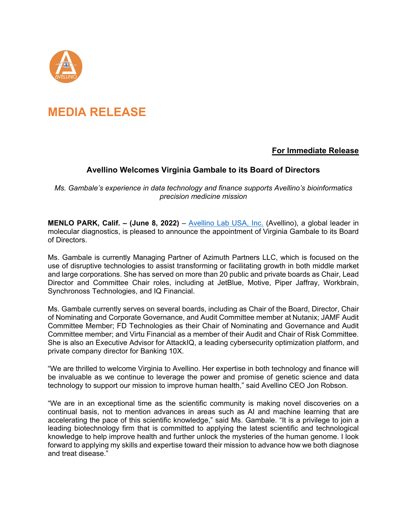

## **MEDIA RELEASE**

## **For Immediate Release**

## **Avellino Welcomes Virginia Gambale to its Board of Directors**

*Ms. Gambale's experience in data technology and finance supports Avellino's bioinformatics precision medicine mission*

**MENLO PARK, Calif. – (June 8, 2022)** – [Avellino Lab USA, Inc.](https://www.avellino.com/) (Avellino), a global leader in molecular diagnostics, is pleased to announce the appointment of Virginia Gambale to its Board of Directors.

Ms. Gambale is currently Managing Partner of Azimuth Partners LLC, which is focused on the use of disruptive technologies to assist transforming or facilitating growth in both middle market and large corporations. She has served on more than 20 public and private boards as Chair, Lead Director and Committee Chair roles, including at JetBlue, Motive, Piper Jaffray, Workbrain, Synchronoss Technologies, and IQ Financial.

Ms. Gambale currently serves on several boards, including as Chair of the Board, Director, Chair of Nominating and Corporate Governance, and Audit Committee member at Nutanix; JAMF Audit Committee Member; FD Technologies as their Chair of Nominating and Governance and Audit Committee member; and Virtu Financial as a member of their Audit and Chair of Risk Committee. She is also an Executive Advisor for AttackIQ, a leading cybersecurity optimization platform, and private company director for Banking 10X.

"We are thrilled to welcome Virginia to Avellino. Her expertise in both technology and finance will be invaluable as we continue to leverage the power and promise of genetic science and data technology to support our mission to improve human health," said Avellino CEO Jon Robson.

"We are in an exceptional time as the scientific community is making novel discoveries on a continual basis, not to mention advances in areas such as AI and machine learning that are accelerating the pace of this scientific knowledge," said Ms. Gambale. "It is a privilege to join a leading biotechnology firm that is committed to applying the latest scientific and technological knowledge to help improve health and further unlock the mysteries of the human genome. I look forward to applying my skills and expertise toward their mission to advance how we both diagnose and treat disease."